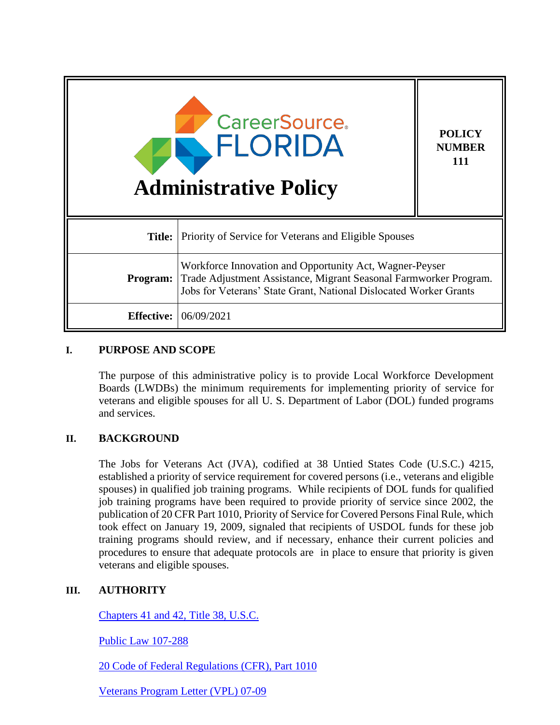| <b>CareerSource.</b><br>FLORIDA<br><b>Administrative Policy</b> |                                                                                                                                                                                                   | <b>POLICY</b><br><b>NUMBER</b><br>111 |
|-----------------------------------------------------------------|---------------------------------------------------------------------------------------------------------------------------------------------------------------------------------------------------|---------------------------------------|
| Title:                                                          | Priority of Service for Veterans and Eligible Spouses                                                                                                                                             |                                       |
| Program:                                                        | Workforce Innovation and Opportunity Act, Wagner-Peyser<br>Trade Adjustment Assistance, Migrant Seasonal Farmworker Program.<br>Jobs for Veterans' State Grant, National Dislocated Worker Grants |                                       |
| <b>Effective:</b>                                               | 06/09/2021                                                                                                                                                                                        |                                       |

# **I. PURPOSE AND SCOPE**

The purpose of this administrative policy is to provide Local Workforce Development Boards (LWDBs) the minimum requirements for implementing priority of service for veterans and eligible spouses for all U. S. Department of Labor (DOL) funded programs and services.

## **II. BACKGROUND**

The Jobs for Veterans Act (JVA), codified at 38 Untied States Code (U.S.C.) 4215, established a priority of service requirement for covered persons (i.e., veterans and eligible spouses) in qualified job training programs. While recipients of DOL funds for qualified job training programs have been required to provide priority of service since 2002, the publication of 20 CFR Part 1010, Priority of Service for Covered Persons Final Rule, which took effect on January 19, 2009, signaled that recipients of USDOL funds for these job training programs should review, and if necessary, enhance their current policies and procedures to ensure that adequate protocols are in place to ensure that priority is given veterans and eligible spouses.

## **III. AUTHORITY**

[Chapters 41 and 42, Title 38, U.S.C.](https://www.gpo.gov/fdsys/pkg/USCODE-2008-title38/pdf/USCODE-2008-title38.pdf)

[Public Law 107-288](https://www.govinfo.gov/content/pkg/PLAW-107publ288/pdf/PLAW-107publ288.pdf)

[20 Code of Federal Regulations](https://www.federalregister.gov/documents/2008/12/19/E8-30166/priority-of-service-for-covered-persons) (CFR), Part 1010

[Veterans Program Letter \(VPL\) 07-09](https://www.dol.gov/sites/dolgov/files/VETS/legacy/files/VPL-07-09.pdf)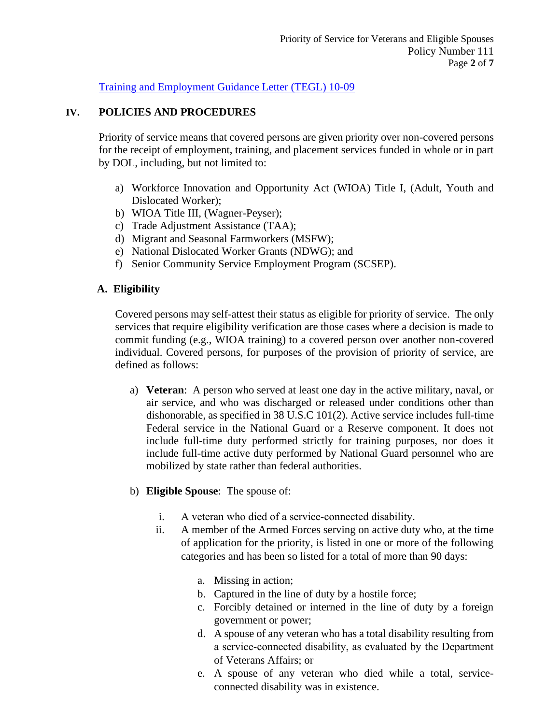[Training and Employment Guidance Letter \(TEGL\) 10-09](https://wdr.doleta.gov/directives/attach/TEGL/TEGL10-09acc.pdf)

## **IV. POLICIES AND PROCEDURES**

Priority of service means that covered persons are given priority over non-covered persons for the receipt of employment, training, and placement services funded in whole or in part by DOL, including, but not limited to:

- a) Workforce Innovation and Opportunity Act (WIOA) Title I, (Adult, Youth and Dislocated Worker);
- b) WIOA Title III, (Wagner-Peyser);
- c) Trade Adjustment Assistance (TAA);
- d) Migrant and Seasonal Farmworkers (MSFW);
- e) National Dislocated Worker Grants (NDWG); and
- f) Senior Community Service Employment Program (SCSEP).

## **A. Eligibility**

Covered persons may self-attest their status as eligible for priority of service. The only services that require eligibility verification are those cases where a decision is made to commit funding (e.g., WIOA training) to a covered person over another non-covered individual. Covered persons, for purposes of the provision of priority of service, are defined as follows:

- a) **Veteran**: A person who served at least one day in the active military, naval, or air service, and who was discharged or released under conditions other than dishonorable, as specified in 38 U.S.C 101(2). Active service includes full-time Federal service in the National Guard or a Reserve component. It does not include full-time duty performed strictly for training purposes, nor does it include full-time active duty performed by National Guard personnel who are mobilized by state rather than federal authorities.
- b) **Eligible Spouse**: The spouse of:
	- i. A veteran who died of a service‐connected disability.
	- ii. A member of the Armed Forces serving on active duty who, at the time of application for the priority, is listed in one or more of the following categories and has been so listed for a total of more than 90 days:
		- a. Missing in action;
		- b. Captured in the line of duty by a hostile force;
		- c. Forcibly detained or interned in the line of duty by a foreign government or power;
		- d. A spouse of any veteran who has a total disability resulting from a service‐connected disability, as evaluated by the Department of Veterans Affairs; or
		- e. A spouse of any veteran who died while a total, serviceconnected disability was in existence.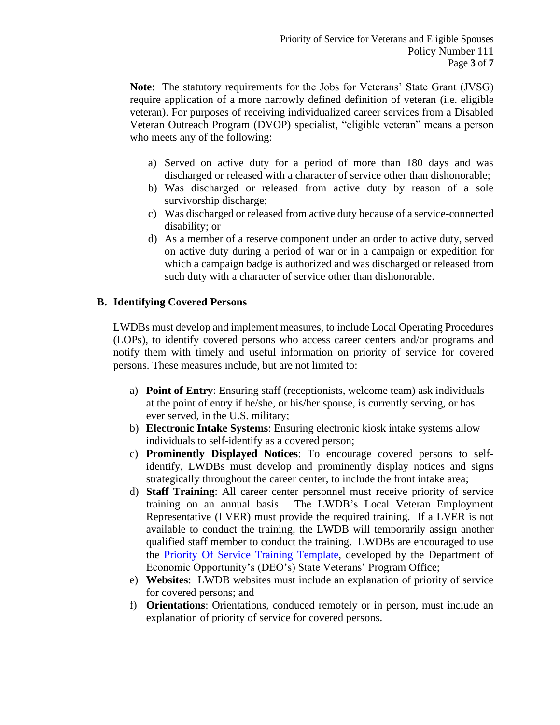**Note**: The statutory requirements for the Jobs for Veterans' State Grant (JVSG) require application of a more narrowly defined definition of veteran (i.e. eligible veteran). For purposes of receiving individualized career services from a Disabled Veteran Outreach Program (DVOP) specialist, "eligible veteran" means a person who meets any of the following:

- a) Served on active duty for a period of more than 180 days and was discharged or released with a character of service other than dishonorable;
- b) Was discharged or released from active duty by reason of a sole survivorship discharge;
- c) Was discharged or released from active duty because of a service-connected disability; or
- d) As a member of a reserve component under an order to active duty, served on active duty during a period of war or in a campaign or expedition for which a campaign badge is authorized and was discharged or released from such duty with a character of service other than dishonorable.

## **B. Identifying Covered Persons**

LWDBs must develop and implement measures, to include Local Operating Procedures (LOPs), to identify covered persons who access career centers and/or programs and notify them with timely and useful information on priority of service for covered persons. These measures include, but are not limited to:

- a) **Point of Entry**: Ensuring staff (receptionists, welcome team) ask individuals at the point of entry if he/she, or his/her spouse, is currently serving, or has ever served, in the U.S. military;
- b) **Electronic Intake Systems**: Ensuring electronic kiosk intake systems allow individuals to self-identify as a covered person;
- c) **Prominently Displayed Notices**: To encourage covered persons to selfidentify, LWDBs must develop and prominently display notices and signs strategically throughout the career center, to include the front intake area;
- d) **Staff Training**: All career center personnel must receive priority of service training on an annual basis. The LWDB's Local Veteran Employment Representative (LVER) must provide the required training. If a LVER is not available to conduct the training, the LWDB will temporarily assign another qualified staff member to conduct the training. LWDBs are encouraged to use the [Priority Of Service Training Template,](http://floridajobs.org/local-workforce-development-board-resources/professional-development-and-training/training-materials) developed by the Department of Economic Opportunity's (DEO's) State Veterans' Program Office;
- e) **Websites**: LWDB websites must include an explanation of priority of service for covered persons; and
- f) **Orientations**: Orientations, conduced remotely or in person, must include an explanation of priority of service for covered persons.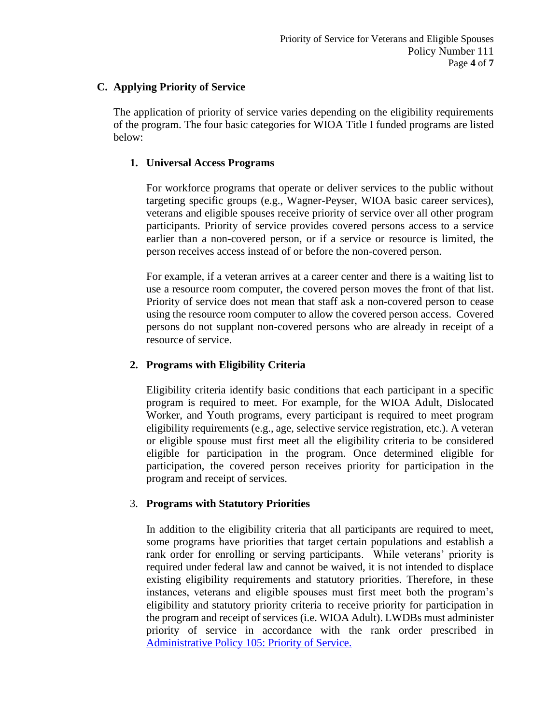## **C. Applying Priority of Service**

The application of priority of service varies depending on the eligibility requirements of the program. The four basic categories for WIOA Title I funded programs are listed below:

## **1. Universal Access Programs**

For workforce programs that operate or deliver services to the public without targeting specific groups (e.g., Wagner-Peyser, WIOA basic career services), veterans and eligible spouses receive priority of service over all other program participants. Priority of service provides covered persons access to a service earlier than a non-covered person, or if a service or resource is limited, the person receives access instead of or before the non-covered person.

For example, if a veteran arrives at a career center and there is a waiting list to use a resource room computer, the covered person moves the front of that list. Priority of service does not mean that staff ask a non-covered person to cease using the resource room computer to allow the covered person access. Covered persons do not supplant non-covered persons who are already in receipt of a resource of service.

# **2. Programs with Eligibility Criteria**

Eligibility criteria identify basic conditions that each participant in a specific program is required to meet. For example, for the WIOA Adult, Dislocated Worker, and Youth programs, every participant is required to meet program eligibility requirements (e.g., age, selective service registration, etc.). A veteran or eligible spouse must first meet all the eligibility criteria to be considered eligible for participation in the program. Once determined eligible for participation, the covered person receives priority for participation in the program and receipt of services.

# 3. **Programs with Statutory Priorities**

In addition to the eligibility criteria that all participants are required to meet, some programs have priorities that target certain populations and establish a rank order for enrolling or serving participants. While veterans' priority is required under federal law and cannot be waived, it is not intended to displace existing eligibility requirements and statutory priorities. Therefore, in these instances, veterans and eligible spouses must first meet both the program's eligibility and statutory priority criteria to receive priority for participation in the program and receipt of services (i.e. WIOA Adult). LWDBs must administer priority of service in accordance with the rank order prescribed in [Administrative Policy 105: Priority of Service.](http://floridajobs.org/docs/default-source/lwdb-resources/policy-and-guidance/guidance-papers/2020-guidance-papers/adminpolicy105_priorityofsvc---final.pdf?sfvrsn=308643b0_2)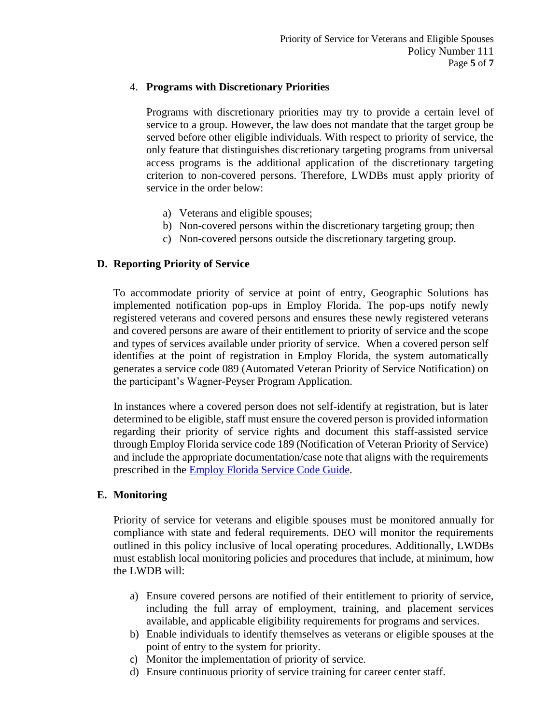## 4. **Programs with Discretionary Priorities**

Programs with discretionary priorities may try to provide a certain level of service to a group. However, the law does not mandate that the target group be served before other eligible individuals. With respect to priority of service, the only feature that distinguishes discretionary targeting programs from universal access programs is the additional application of the discretionary targeting criterion to non-covered persons. Therefore, LWDBs must apply priority of service in the order below:

- a) Veterans and eligible spouses;
- b) Non-covered persons within the discretionary targeting group; then
- c) Non-covered persons outside the discretionary targeting group.

#### **D. Reporting Priority of Service**

To accommodate priority of service at point of entry, Geographic Solutions has implemented notification pop-ups in Employ Florida. The pop-ups notify newly registered veterans and covered persons and ensures these newly registered veterans and covered persons are aware of their entitlement to priority of service and the scope and types of services available under priority of service. When a covered person self identifies at the point of registration in Employ Florida, the system automatically generates a service code 089 (Automated Veteran Priority of Service Notification) on the participant's Wagner-Peyser Program Application.

In instances where a covered person does not self-identify at registration, but is later determined to be eligible, staff must ensure the covered person is provided information regarding their priority of service rights and document this staff-assisted service through Employ Florida service code 189 (Notification of Veteran Priority of Service) and include the appropriate documentation/case note that aligns with the requirements prescribed in the [Employ Florida Service Code Guide.](http://floridajobs.org/local-workforce-development-board-resources/programs-and-resources/program-resources)

#### **E. Monitoring**

Priority of service for veterans and eligible spouses must be monitored annually for compliance with state and federal requirements. DEO will monitor the requirements outlined in this policy inclusive of local operating procedures. Additionally, LWDBs must establish local monitoring policies and procedures that include, at minimum, how the LWDB will:

- a) Ensure covered persons are notified of their entitlement to priority of service, including the full array of employment, training, and placement services available, and applicable eligibility requirements for programs and services.
- b) Enable individuals to identify themselves as veterans or eligible spouses at the point of entry to the system for priority.
- c) Monitor the implementation of priority of service.
- d) Ensure continuous priority of service training for career center staff.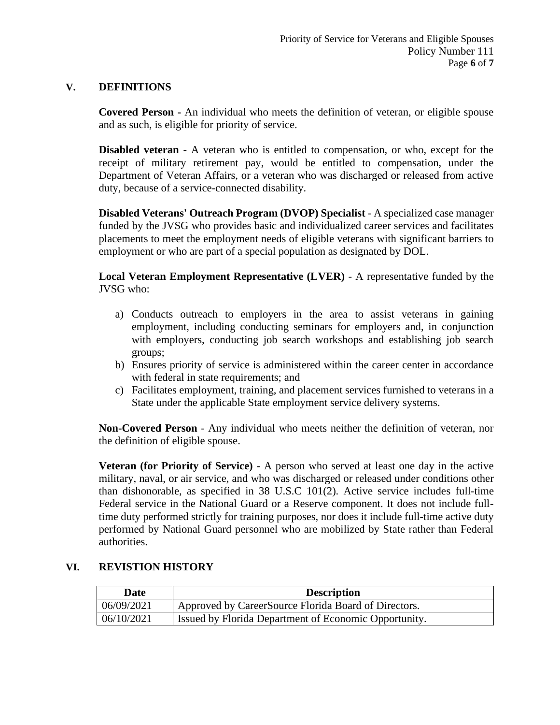#### **V. DEFINITIONS**

**Covered Person -** An individual who meets the definition of veteran, or eligible spouse and as such, is eligible for priority of service.

**Disabled veteran** - A veteran who is entitled to compensation, or who, except for the receipt of military retirement pay, would be entitled to compensation, under the Department of Veteran Affairs, or a veteran who was discharged or released from active duty, because of a service-connected disability.

**Disabled Veterans' Outreach Program (DVOP) Specialist** - A specialized case manager funded by the JVSG who provides basic and individualized career services and facilitates placements to meet the employment needs of eligible veterans with significant barriers to employment or who are part of a special population as designated by DOL.

**Local Veteran Employment Representative (LVER)** - A representative funded by the JVSG who:

- a) Conducts outreach to employers in the area to assist veterans in gaining employment, including conducting seminars for employers and, in conjunction with employers, conducting job search workshops and establishing job search groups;
- b) Ensures priority of service is administered within the career center in accordance with federal in state requirements; and
- c) Facilitates employment, training, and placement services furnished to veterans in a State under the applicable State employment service delivery systems.

**Non-Covered Person** - Any individual who meets neither the definition of veteran, nor the definition of eligible spouse.

**Veteran (for Priority of Service)** - A person who served at least one day in the active military, naval, or air service, and who was discharged or released under conditions other than dishonorable, as specified in 38 U.S.C 101(2). Active service includes full-time Federal service in the National Guard or a Reserve component. It does not include fulltime duty performed strictly for training purposes, nor does it include full-time active duty performed by National Guard personnel who are mobilized by State rather than Federal authorities.

## **VI. REVISTION HISTORY**

| Date       | <b>Description</b>                                    |
|------------|-------------------------------------------------------|
| 06/09/2021 | Approved by CareerSource Florida Board of Directors.  |
| 06/10/2021 | Issued by Florida Department of Economic Opportunity. |